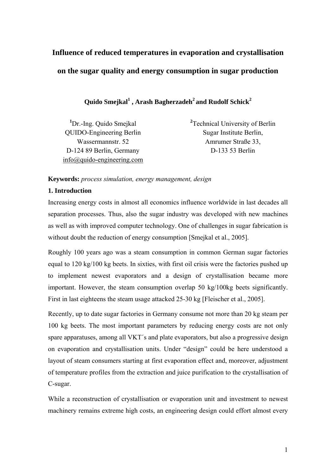# **Influence of reduced temperatures in evaporation and crystallisation on the sugar quality and energy consumption in sugar production**

 $\mathbf Q$ uido Smejkal $^1$  , Arash Bagherzadeh $^2$  and Rudolf Schick $^2$ 

**1** Dr.-Ing. Quido Smejkal QUIDO-Engineering Berlin Wassermannstr. 52 D-124 89 Berlin, Germany info@quido-engineering.com **2** Technical University of Berlin Sugar Institute Berlin, Amrumer Straße 33, D-133 53 Berlin

## **Keywords:** *process simulation, energy management, design*

## **1. Introduction**

Increasing energy costs in almost all economics influence worldwide in last decades all separation processes. Thus, also the sugar industry was developed with new machines as well as with improved computer technology. One of challenges in sugar fabrication is without doubt the reduction of energy consumption [Smejkal et al., 2005].

Roughly 100 years ago was a steam consumption in common German sugar factories equal to 120 kg/100 kg beets. In sixties, with first oil crisis were the factories pushed up to implement newest evaporators and a design of crystallisation became more important. However, the steam consumption overlap 50 kg/100kg beets significantly. First in last eighteens the steam usage attacked 25-30 kg [Fleischer et al., 2005].

Recently, up to date sugar factories in Germany consume not more than 20 kg steam per 100 kg beets. The most important parameters by reducing energy costs are not only spare apparatuses, among all VKT´s and plate evaporators, but also a progressive design on evaporation and crystallisation units. Under "design" could be here understood a layout of steam consumers starting at first evaporation effect and, moreover, adjustment of temperature profiles from the extraction and juice purification to the crystallisation of C-sugar.

While a reconstruction of crystallisation or evaporation unit and investment to newest machinery remains extreme high costs, an engineering design could effort almost every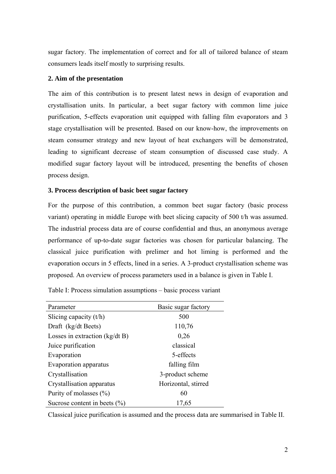sugar factory. The implementation of correct and for all of tailored balance of steam consumers leads itself mostly to surprising results.

## **2. Aim of the presentation**

The aim of this contribution is to present latest news in design of evaporation and crystallisation units. In particular, a beet sugar factory with common lime juice purification, 5-effects evaporation unit equipped with falling film evaporators and 3 stage crystallisation will be presented. Based on our know-how, the improvements on steam consumer strategy and new layout of heat exchangers will be demonstrated, leading to significant decrease of steam consumption of discussed case study. A modified sugar factory layout will be introduced, presenting the benefits of chosen process design.

#### **3. Process description of basic beet sugar factory**

For the purpose of this contribution, a common beet sugar factory (basic process variant) operating in middle Europe with beet slicing capacity of 500 t/h was assumed. The industrial process data are of course confidential and thus, an anonymous average performance of up-to-date sugar factories was chosen for particular balancing. The classical juice purification with prelimer and hot liming is performed and the evaporation occurs in 5 effects, lined in a series. A 3-product crystallisation scheme was proposed. An overview of process parameters used in a balance is given in Table I.

| Parameter                        | Basic sugar factory |
|----------------------------------|---------------------|
| Slicing capacity $(t/h)$         | 500                 |
| Draft (kg/dt Beets)              | 110,76              |
| Losses in extraction $(kg/dt B)$ | 0,26                |
| Juice purification               | classical           |
| Evaporation                      | 5-effects           |
| Evaporation apparatus            | falling film        |
| Crystallisation                  | 3-product scheme    |
| Crystallisation apparatus        | Horizontal, stirred |
| Purity of molasses $(\% )$       | 60                  |
| Sucrose content in beets $(\% )$ | 17,65               |

Table I: Process simulation assumptions – basic process variant

Classical juice purification is assumed and the process data are summarised in Table II.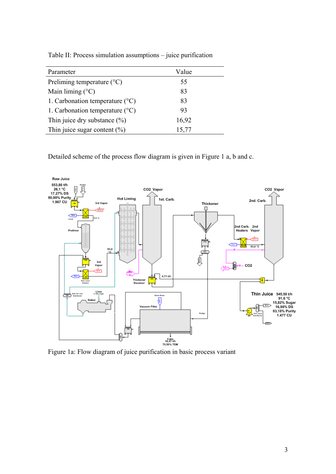| Parameter                                | Value |
|------------------------------------------|-------|
| Preliming temperature $(^{\circ}C)$      | 55    |
| Main liming $(°C)$                       | 83    |
| 1. Carbonation temperature $(^{\circ}C)$ | 83    |
| 1. Carbonation temperature $(^{\circ}C)$ | 93    |
| Thin juice dry substance $(\% )$         | 16,92 |
| Thin juice sugar content $(\%)$          | 15,77 |

Table II: Process simulation assumptions – juice purification

Detailed scheme of the process flow diagram is given in Figure 1 a, b and c.



Figure 1a: Flow diagram of juice purification in basic process variant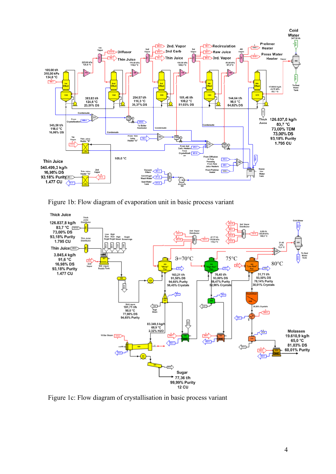

Figure 1b: Flow diagram of evaporation unit in basic process variant



Figure 1c: Flow diagram of crystallisation in basic process variant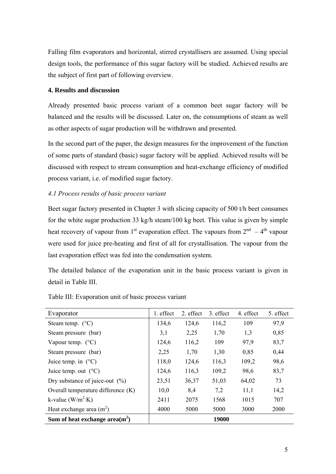Falling film evaporators and horizontal, stirred crystallisers are assumed. Using special design tools, the performance of this sugar factory will be studied. Achieved results are the subject of first part of following overview.

## **4. Results and discussion**

Already presented basic process variant of a common beet sugar factory will be balanced and the results will be discussed. Later on, the consumptions of steam as well as other aspects of sugar production will be withdrawn and presented.

In the second part of the paper, the design measures for the improvement of the function of some parts of standard (basic) sugar factory will be applied. Achieved results will be discussed with respect to stream consumption and heat-exchange efficiency of modified process variant, i.e. of modified sugar factory.

# *4.1 Process results of basic process variant*

Beet sugar factory presented in Chapter 3 with slicing capacity of 500 t/h beet consumes for the white sugar production 33 kg/h steam/100 kg beet. This value is given by simple heat recovery of vapour from 1<sup>st</sup> evaporation effect. The vapours from  $2<sup>nd</sup> - 4<sup>th</sup>$  vapour were used for juice pre-heating and first of all for crystallisation. The vapour from the last evaporation effect was fed into the condensation system.

The detailed balance of the evaporation unit in the basic process variant is given in detail in Table III

| Evaporator                         | 1. effect | 2. effect | 3. effect | 4. effect | 5. effect |
|------------------------------------|-----------|-----------|-----------|-----------|-----------|
| Steam temp. $(^{\circ}C)$          | 134,6     | 124,6     | 116,2     | 109       | 97,9      |
| Steam pressure (bar)               | 3,1       | 2,25      | 1,70      | 1,3       | 0,85      |
| Vapour temp. $(^{\circ}C)$         | 124,6     | 116,2     | 109       | 97,9      | 83,7      |
| Steam pressure (bar)               | 2,25      | 1,70      | 1,30      | 0,85      | 0,44      |
| Juice temp. in $(^{\circ}C)$       | 118,0     | 124,6     | 116,3     | 109,2     | 98,6      |
| Juice temp. out $(^{\circ}C)$      | 124,6     | 116,3     | 109,2     | 98,6      | 83,7      |
| Dry substance of juice-out $(\%)$  | 23,51     | 36,37     | 51,03     | 64,02     | 73        |
| Overall temperature difference (K) | 10,0      | 8,4       | 7,2       | 11,1      | 14,2      |
| k-value $(W/m^2·K)$                | 2411      | 2075      | 1568      | 1015      | 707       |
| Heat exchange area $(m^2)$         | 4000      | 5000      | 5000      | 3000      | 2000      |
| Sum of heat exchange $area(m^2)$   |           |           | 19000     |           |           |

Table III: Evaporation unit of basic process variant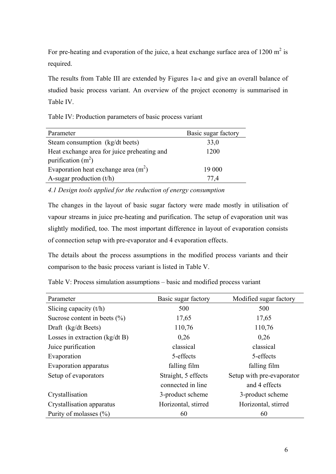For pre-heating and evaporation of the juice, a heat exchange surface area of 1200  $m^2$  is required.

The results from Table III are extended by Figures 1a-c and give an overall balance of studied basic process variant. An overview of the project economy is summarised in Table IV.

Table IV: Production parameters of basic process variant

| Parameter                                   | Basic sugar factory |  |  |
|---------------------------------------------|---------------------|--|--|
| Steam consumption (kg/dt beets)             | 33,0                |  |  |
| Heat exchange area for juice preheating and | 1200                |  |  |
| purification $(m^2)$                        |                     |  |  |
| Evaporation heat exchange area $(m^2)$      | 19 000              |  |  |
| A-sugar production $(t/h)$                  | 77 4                |  |  |

*4.1 Design tools applied for the reduction of energy consumption* 

The changes in the layout of basic sugar factory were made mostly in utilisation of vapour streams in juice pre-heating and purification. The setup of evaporation unit was slightly modified, too. The most important difference in layout of evaporation consists of connection setup with pre-evaporator and 4 evaporation effects.

The details about the process assumptions in the modified process variants and their comparison to the basic process variant is listed in Table V.

Table V: Process simulation assumptions – basic and modified process variant

| Parameter                        | Basic sugar factory | Modified sugar factory    |  |
|----------------------------------|---------------------|---------------------------|--|
| Slicing capacity $(t/h)$         | 500                 | 500                       |  |
| Sucrose content in beets $(\% )$ | 17,65               | 17,65                     |  |
| Draft (kg/dt Beets)              | 110,76              | 110,76                    |  |
| Losses in extraction $(kg/dt B)$ | 0,26                | 0,26                      |  |
| Juice purification               | classical           | classical                 |  |
| Evaporation                      | 5-effects           | 5-effects                 |  |
| Evaporation apparatus            | falling film        | falling film              |  |
| Setup of evaporators             | Straight, 5 effects | Setup with pre-evaporator |  |
|                                  | connected in line   | and 4 effects             |  |
| Crystallisation                  | 3-product scheme    | 3-product scheme          |  |
| Crystallisation apparatus        | Horizontal, stirred | Horizontal, stirred       |  |
| Purity of molasses $(\% )$       | 60                  | 60                        |  |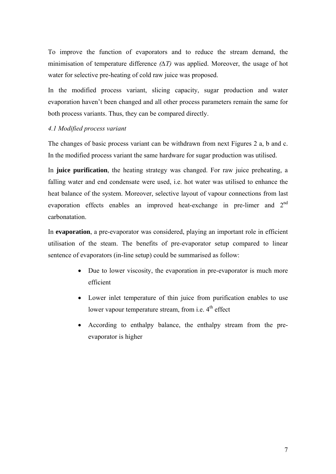To improve the function of evaporators and to reduce the stream demand, the minimisation of temperature difference  $(\Delta T)$  was applied. Moreover, the usage of hot water for selective pre-heating of cold raw juice was proposed.

In the modified process variant, slicing capacity, sugar production and water evaporation haven't been changed and all other process parameters remain the same for both process variants. Thus, they can be compared directly.

## *4.1 Modified process variant*

The changes of basic process variant can be withdrawn from next Figures 2 a, b and c. In the modified process variant the same hardware for sugar production was utilised.

In **juice purification**, the heating strategy was changed. For raw juice preheating, a falling water and end condensate were used, i.e. hot water was utilised to enhance the heat balance of the system. Moreover, selective layout of vapour connections from last evaporation effects enables an improved heat-exchange in pre-limer and 2<sup>nd</sup> carbonatation.

In **evaporation**, a pre-evaporator was considered, playing an important role in efficient utilisation of the steam. The benefits of pre-evaporator setup compared to linear sentence of evaporators (in-line setup) could be summarised as follow:

- Due to lower viscosity, the evaporation in pre-evaporator is much more efficient
- Lower inlet temperature of thin juice from purification enables to use lower vapour temperature stream, from i.e.  $4<sup>th</sup>$  effect
- According to enthalpy balance, the enthalpy stream from the preevaporator is higher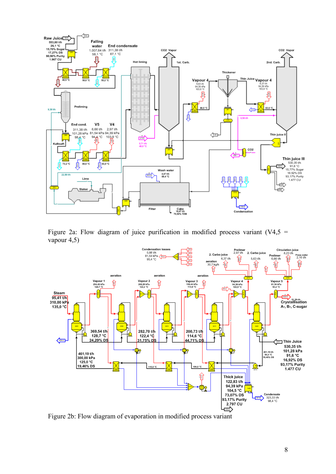

Figure 2a: Flow diagram of juice purification in modified process variant  $(V4,5 =$ vapour 4,5)



Figure 2b: Flow diagram of evaporation in modified process variant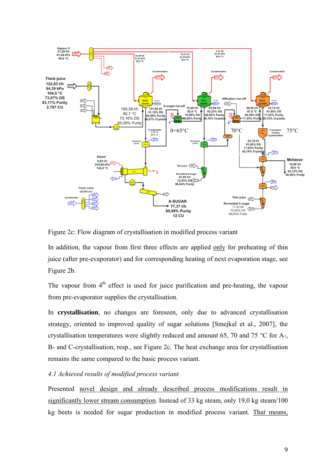

Figure 2c: Flow diagram of crystallisation in modified process variant

In addition, the vapour from first three effects are applied only for preheating of thin juice (after pre-evaporator) and for corresponding heating of next evaporation stage, see Figure 2b.

The vapour from  $4<sup>th</sup>$  effect is used for juice purification and pre-heating, the vapour from pre-evaporator supplies the crystallisation.

In **crystallisation**, no changes are foreseen, only due to advanced crystallisation strategy, oriented to improved quality of sugar solutions [Smejkal et al., 2007], the crystallisation temperatures were slightly reduced and amount 65, 70 and 75 °C for A-, B- and C-crystallisation, resp., see Figure 2c. The heat exchange area for crystallisation remains the same compared to the basic process variant.

## *4.1 Achieved results of modified process variant*

Presented novel design and already described process modifications result in significantly lower stream consumption. Instead of 33 kg steam, only 19,0 kg steam/100 kg beets is needed for sugar production in modified process variant. That means,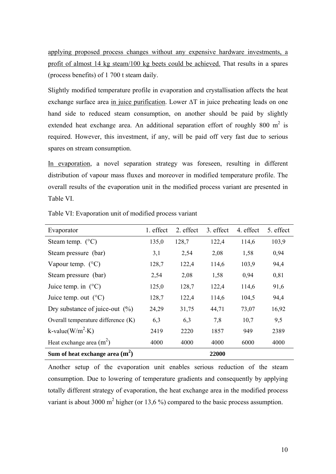applying proposed process changes without any expensive hardware investments, a profit of almost 14 kg steam/100 kg beets could be achieved. That results in a spares (process benefits) of 1 700 t steam daily.

Slightly modified temperature profile in evaporation and crystallisation affects the heat exchange surface area in juice purification. Lower ∆T in juice preheating leads on one hand side to reduced steam consumption, on another should be paid by slightly extended heat exchange area. An additional separation effort of roughly 800  $m^2$  is required. However, this investment, if any, will be paid off very fast due to serious spares on stream consumption.

In evaporation, a novel separation strategy was foreseen, resulting in different distribution of vapour mass fluxes and moreover in modified temperature profile. The overall results of the evaporation unit in the modified process variant are presented in Table VI.

| Evaporator                         | 1. effect | 2. effect | 3. effect | 4. effect | 5. effect |
|------------------------------------|-----------|-----------|-----------|-----------|-----------|
| Steam temp. $(^{\circ}C)$          | 135,0     | 128,7     | 122,4     | 114,6     | 103,9     |
| Steam pressure (bar)               | 3,1       | 2,54      | 2,08      | 1,58      | 0,94      |
| Vapour temp. $(^{\circ}C)$         | 128,7     | 122,4     | 114,6     | 103,9     | 94,4      |
| Steam pressure (bar)               | 2,54      | 2,08      | 1,58      | 0,94      | 0,81      |
| Juice temp. in $(^{\circ}C)$       | 125,0     | 128,7     | 122,4     | 114,6     | 91,6      |
| Juice temp. out $(^{\circ}C)$      | 128,7     | 122,4     | 114,6     | 104,5     | 94,4      |
| Dry substance of juice-out $(\%)$  | 24,29     | 31,75     | 44,71     | 73,07     | 16,92     |
| Overall temperature difference (K) | 6,3       | 6,3       | 7,8       | 10,7      | 9,5       |
| k-value( $W/m^2$ ·K)               | 2419      | 2220      | 1857      | 949       | 2389      |
| Heat exchange area $(m^2)$         | 4000      | 4000      | 4000      | 6000      | 4000      |
| Sum of heat exchange area $(m^2)$  |           |           | 22000     |           |           |

Table VI: Evaporation unit of modified process variant

Another setup of the evaporation unit enables serious reduction of the steam consumption. Due to lowering of temperature gradients and consequently by applying totally different strategy of evaporation, the heat exchange area in the modified process variant is about 3000 m<sup>2</sup> higher (or 13,6 %) compared to the basic process assumption.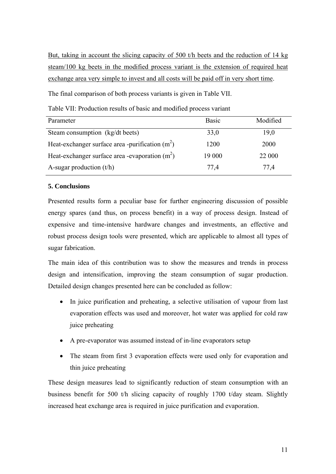But, taking in account the slicing capacity of 500 t/h beets and the reduction of 14 kg steam/100 kg beets in the modified process variant is the extension of required heat exchange area very simple to invest and all costs will be paid off in very short time.

The final comparison of both process variants is given in Table VII.

Table VII: Production results of basic and modified process variant

| Parameter                                        | <b>Basic</b> | Modified |
|--------------------------------------------------|--------------|----------|
| Steam consumption (kg/dt beets)                  | 33,0         | 19,0     |
| Heat-exchanger surface area -purification $(m2)$ | 1200         | 2000     |
| Heat-exchanger surface area -evaporation $(m2)$  | 19 000       | 22 000   |
| A-sugar production $(t/h)$                       | 77,4         | 77.4     |

## **5. Conclusions**

Presented results form a peculiar base for further engineering discussion of possible energy spares (and thus, on process benefit) in a way of process design. Instead of expensive and time-intensive hardware changes and investments, an effective and robust process design tools were presented, which are applicable to almost all types of sugar fabrication.

The main idea of this contribution was to show the measures and trends in process design and intensification, improving the steam consumption of sugar production. Detailed design changes presented here can be concluded as follow:

- In juice purification and preheating, a selective utilisation of vapour from last evaporation effects was used and moreover, hot water was applied for cold raw juice preheating
- A pre-evaporator was assumed instead of in-line evaporators setup
- The steam from first 3 evaporation effects were used only for evaporation and thin juice preheating

These design measures lead to significantly reduction of steam consumption with an business benefit for 500 t/h slicing capacity of roughly 1700 t/day steam. Slightly increased heat exchange area is required in juice purification and evaporation.